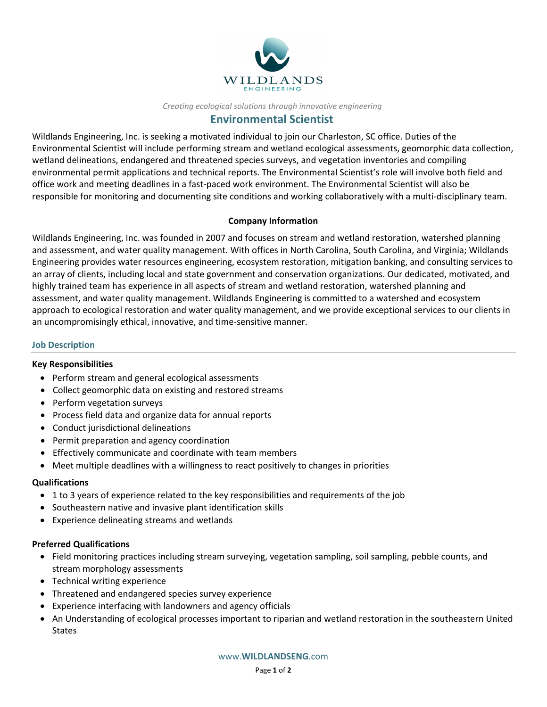

## *Creating ecological solutions through innovative engineering*

# **Environmental Scientist**

Wildlands Engineering, Inc. is seeking a motivated individual to join our Charleston, SC office. Duties of the Environmental Scientist will include performing stream and wetland ecological assessments, geomorphic data collection, wetland delineations, endangered and threatened species surveys, and vegetation inventories and compiling environmental permit applications and technical reports. The Environmental Scientist's role will involve both field and office work and meeting deadlines in a fast‐paced work environment. The Environmental Scientist will also be responsible for monitoring and documenting site conditions and working collaboratively with a multi‐disciplinary team.

### **Company Information**

Wildlands Engineering, Inc. was founded in 2007 and focuses on stream and wetland restoration, watershed planning and assessment, and water quality management. With offices in North Carolina, South Carolina, and Virginia; Wildlands Engineering provides water resources engineering, ecosystem restoration, mitigation banking, and consulting services to an array of clients, including local and state government and conservation organizations. Our dedicated, motivated, and highly trained team has experience in all aspects of stream and wetland restoration, watershed planning and assessment, and water quality management. Wildlands Engineering is committed to a watershed and ecosystem approach to ecological restoration and water quality management, and we provide exceptional services to our clients in an uncompromisingly ethical, innovative, and time‐sensitive manner.

#### **Job Description**

#### **Key Responsibilities**

- Perform stream and general ecological assessments
- Collect geomorphic data on existing and restored streams
- Perform vegetation surveys
- Process field data and organize data for annual reports
- Conduct jurisdictional delineations
- Permit preparation and agency coordination
- Effectively communicate and coordinate with team members
- Meet multiple deadlines with a willingness to react positively to changes in priorities

## **Qualifications**

- 1 to 3 years of experience related to the key responsibilities and requirements of the job
- Southeastern native and invasive plant identification skills
- Experience delineating streams and wetlands

## **Preferred Qualifications**

- Field monitoring practices including stream surveying, vegetation sampling, soil sampling, pebble counts, and stream morphology assessments
- Technical writing experience
- Threatened and endangered species survey experience
- Experience interfacing with landowners and agency officials
- An Understanding of ecological processes important to riparian and wetland restoration in the southeastern United **States**